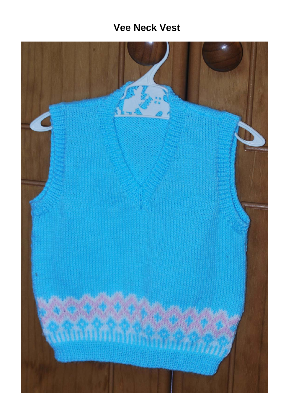# **Vee Neck Vest**

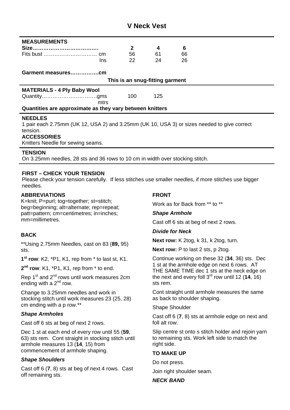# **V Neck Vest**

| <b>MEASUREMENTS</b>                                      |  |              |     |                                                                                 |
|----------------------------------------------------------|--|--------------|-----|---------------------------------------------------------------------------------|
|                                                          |  | $\mathbf{2}$ | 4   | 6                                                                               |
|                                                          |  | 56           | 61  | 66                                                                              |
| Ins                                                      |  | 22           | 24  | 26                                                                              |
|                                                          |  |              |     |                                                                                 |
| This is an snug-fitting garment                          |  |              |     |                                                                                 |
| <b>MATERIALS - 4 Ply Baby Wool</b>                       |  |              |     |                                                                                 |
|                                                          |  | 100          | 125 |                                                                                 |
| mtrs                                                     |  |              |     |                                                                                 |
| Quantities are approximate as they vary between knitters |  |              |     |                                                                                 |
| <b>NEEDLES</b>                                           |  |              |     |                                                                                 |
|                                                          |  |              |     | $(1.117 \pm 0.110 \pm 0.011)$ $(1.117 \pm 0.110 \pm 0.011)$ $(1.117 \pm 0.110)$ |

1 pair each 2.75mm (UK 12, USA 2) and 3.25mm (UK 10, USA 3) or sizes needed to give correct tension. **ACCESSORIES** 

Knitters Needle for sewing seams.

#### **TENSION**

On 3.25mm needles, 28 sts and 36 rows to 10 cm in width over stocking stitch.

#### **FIRST – CHECK YOUR TENSION**

Please check your tension carefully. If less stitches use smaller needles, if more stitches use bigger needles.

#### **ABBREVIATIONS**

K=knit; P=purl; tog=together; st=stitch; beg=beginning; alt=alternate; rep=repeat; patt=pattern; cm=centimetres; in=inches; mm=millimetres.

#### **BACK**

\*\*Using 2.75mm Needles, cast on 83 (**89,** 95) sts.

**1st row**: K2, \*P1, K1, rep from \* to last st, K1.

**2nd row**: K1, \*P1, K1, rep from \* to end.

Rep 1<sup>st</sup> and 2<sup>nd</sup> rows until work measures 2cm ending with a  $2<sup>nd</sup>$  row.

Change to 3.25mm needles and work in stocking stitch until work measures 23 (25, 28) cm ending with a p row.\*\*

#### *Shape Armholes*

Cast off 6 sts at beg of next 2 rows.

Dec 1 st at each end of every row until 55 (**59**, 63) sts rem. Cont straight in stocking stitch until armhole measures 13 (**14**, 15) from commencement of armhole shaping.

#### *Shape Shoulders*

Cast off 6 (**7**, 8) sts at beg of next 4 rows. Cast off remaining sts.

## **FRONT**

Work as for Back from \*\* to \*\*

# *Shape Armhole*

Cast off 6 sts at beg of next 2 rows.

#### *Divide for Neck*

**Next row:** K 2tog, k 31, k 2tog, turn.

**Next row:** P to last 2 sts, p 2tog.

Continue working on these 32 (**34**, 36) sts. Dec 1 st at the armhole edge on next 6 rows. AT THE SAME TIME dec 1 sts at the neck edge on the next and every foll 3rd row until 12 (**14**, 16) sts rem.

Cont straight until armhole measures the same as back to shoulder shaping.

Shape Shoulder

Cast off 6 (**7**, 8) sts at armhole edge on next and foll alt row.

Slip centre st onto s stitch holder and rejoin yarn to remaining sts. Work left side to match the right side.

#### **TO MAKE UP**

Do not press.

Join right shoulder seam.

#### *NECK BAND*